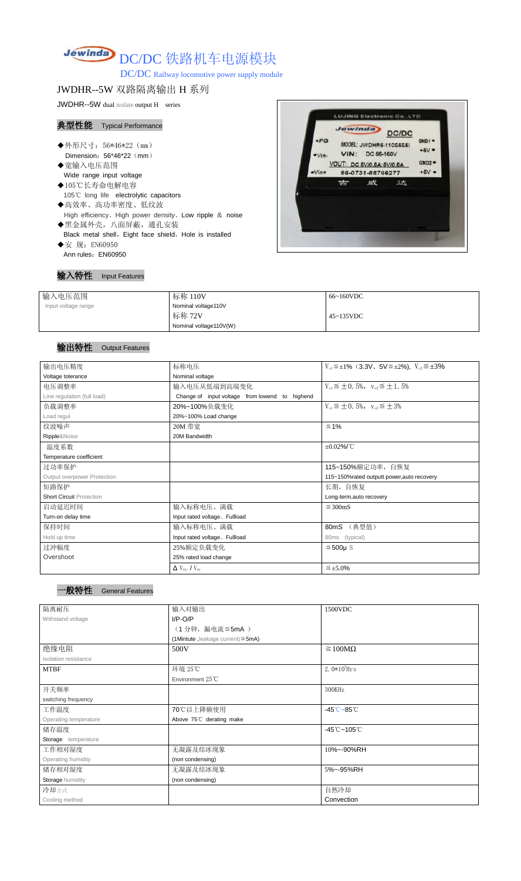# Jewinda DC/DC 铁路机车电源模块

DC/DC Railway locomotive power supply module

## JWDHR--5W 双路隔离输出 H 系列

JWDHR--5W dual isolate output H series

#### 典型性能 Typical Performance

- ◆外形尺寸: 56\*46\*22 (mm) Dimension: 56\*46\*22 (mm)
- ◆宽输入电压范围 Wide range input voltage
- ◆105℃长寿命电解电容 105℃ long life electrolytic capacitors
- ◆高效率、高功率密度、低纹波 High efficiency、High power density、Low ripple & noise
- ◆黑金属外壳,八面屏蔽,通孔安装 Black metal shell, Eight face shield, Hole is installed ◆安 规: EN60950
- Ann rules: EN60950



| 输入特性 | <b>Input Features</b> |
|------|-----------------------|
|------|-----------------------|

| 输入电压范围              | 标称 110V                | 66~160VDC |
|---------------------|------------------------|-----------|
| Input voltage range | Nominal voltage110V    |           |
|                     | 标称 72V                 | 45~135VDC |
|                     | Nominal voltage110V(W) |           |

#### 输出特性 Output Features

一般特性 General Features

| 输出电压精度                          | 标称电压                                           | $V_{01} \leq \pm 1\%$ (3.3V, 5V $\leq \pm 2\%$ ), $V_{02} \leq \pm 3\%$ |  |  |
|---------------------------------|------------------------------------------------|-------------------------------------------------------------------------|--|--|
| Voltage tolerance               | Nominal voltage                                |                                                                         |  |  |
| 电压调整率                           | 输入电压从低端到高端变化                                   | $V_{01} \leq \pm 0.5\%$ , $V_{02} \leq \pm 1.5\%$                       |  |  |
| Line regulation (full load)     | Change of input voltage from lowend to highend |                                                                         |  |  |
| 负载调整率                           | 20%~100%负载变化                                   | $V_{01} \leq \pm 0.5\%$ , $V_{02} \leq \pm 3\%$                         |  |  |
| Load regul                      | 20%~100% Load change                           |                                                                         |  |  |
| 纹波噪声                            | 20M 带宽                                         | $\leq 1\%$                                                              |  |  |
| Ripple&Noise                    | 20M Bandwidth                                  |                                                                         |  |  |
| 温度系数                            |                                                | $\pm 0.02\%$ /°C                                                        |  |  |
| Temperature coefficient         |                                                |                                                                         |  |  |
| 过功率保护                           |                                                | 115~150%额定功率, 自恢复                                                       |  |  |
| Output overpower Protection     |                                                | 115~150%rated outputt power, auto recovery                              |  |  |
| 短路保护                            |                                                | 长期, 自恢复                                                                 |  |  |
| <b>Short Circuit Protection</b> |                                                | Long-term, auto recovery                                                |  |  |
| 启动延迟时间                          | 输入标称电压、满载                                      | $\leq$ 300mS                                                            |  |  |
| Turn-on delay time              | Input rated voltage. Fullload                  |                                                                         |  |  |
| 保持时间                            | 输入标称电压、满载                                      | (典型值)<br>80mS                                                           |  |  |
| Hold up time                    | Input rated voltage. Fullload                  | 80ms<br>(typical)                                                       |  |  |
| 过冲幅度                            | 25%额定负载变化                                      | $≤500µ$ S                                                               |  |  |
| Overshoot                       | 25% rated load change                          |                                                                         |  |  |
|                                 | $\Delta$ V <sub>01</sub> /V <sub>01</sub>      | $\leq \pm 5.0\%$                                                        |  |  |

|  | ----- |
|--|-------|
|  |       |
|  |       |

| 隔离耐压                  | 输入对输出                                   | 1500VDC                                    |  |
|-----------------------|-----------------------------------------|--------------------------------------------|--|
| Withstand voltage     | $I/P-O/P$                               |                                            |  |
|                       | (1分钟,漏电流≦5mA)                           |                                            |  |
|                       | (1Mintute, leakage current) $\leq$ 5mA) |                                            |  |
| 绝缘电阻                  | 500V                                    | $\geq 100M\Omega$                          |  |
| Isolation resistance  |                                         |                                            |  |
| <b>MTBF</b>           | 环境 25℃                                  | $2.0*105$ Hrs                              |  |
|                       | Environment $25^{\circ}$ C              |                                            |  |
| 开关频率                  |                                         | 300KHz                                     |  |
| switching frequency   |                                         |                                            |  |
| 工作温度                  | 70℃以上降额使用                               | $-45^{\circ}\text{C} - 85^{\circ}\text{C}$ |  |
| Operating temperature | Above 75°C derating make                |                                            |  |
| 储存温度                  |                                         | $-45^{\circ}$ C ~105 $^{\circ}$ C          |  |
| Storage temperature   |                                         |                                            |  |
| 工作相对湿度                | 无凝露及结冰现象                                | 10%~-90%RH                                 |  |
| Operating humidity    | (non condensing)                        |                                            |  |
| 储存相对湿度                | 无凝露及结冰现象                                | 5%~-95%RH                                  |  |
| Storage humidity      | (non condensing)                        |                                            |  |
| 冷却方式                  |                                         | 自然冷却                                       |  |
| Cooling method        |                                         | Convection                                 |  |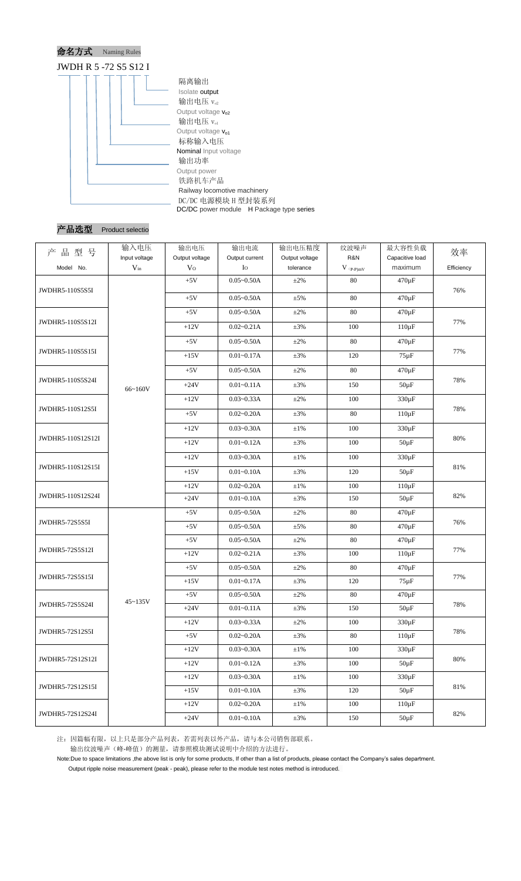



| 品型号<br>产              | 输入电压<br>Input voltage | 输出电压<br>Output voltage | 输出电流<br>Output current | 输出电压精度<br>Output voltage | 纹波噪声<br>R&N                   | 最大容性负载<br>Capacitive load | 效率         |
|-----------------------|-----------------------|------------------------|------------------------|--------------------------|-------------------------------|---------------------------|------------|
| Model No.             | $V_{in}$              | V <sub>O</sub>         | $I_{\rm O}$            | tolerance                | $V$ $\mathrm{(p\text{-}p)mV}$ | maximum                   | Efficiency |
|                       |                       | $+5V$                  | $0.05 - 0.50A$         | $\pm 2\%$                | 80                            | $470 \,\mathrm{\upmu F}$  |            |
| JWDHR5-110S5S5I       |                       | $+5V$                  | $0.05 - 0.50A$         | $\pm 5\%$                | 80                            | $470 \,\mathrm{\upmu F}$  | 76%        |
|                       |                       | $+5V$                  | $0.05 - 0.50A$         | $\pm 2\%$                | 80                            | 470 µF                    |            |
| JWDHR5-110S5S12I      |                       | $+12V$                 | $0.02 - 0.21A$         | $\pm 3\%$                | 100                           | $110 \,\mathrm{\upmu F}$  | 77%        |
|                       |                       | $+5V$                  | $0.05 - 0.50A$         | $\pm 2\%$                | 80                            | $470 \,\mathrm{\upmu F}$  |            |
| JWDHR5-110S5S15I      |                       | $+15V$                 | $0.01 - 0.17A$         | $\pm 3\%$                | 120                           | $75 \,\mathrm{\upmu F}$   | 77%        |
|                       |                       | $+5V$                  | $0.05 - 0.50A$         | $\pm 2\%$                | 80                            | $470 \,\mathrm{\upmu F}$  |            |
| JWDHR5-110S5S24I      | 66~160V               | $+24V$                 | $0.01 - 0.11A$         | $\pm 3\%$                | 150                           | $50 \,\mathrm{\upmu F}$   | 78%        |
|                       |                       | $+12V$                 | $0.03 - 0.33A$         | $\pm 2\%$                | 100                           | $330 \,\mathrm{\upmu F}$  |            |
| JWDHR5-110S12S5I      |                       | $+5V$                  | $0.02 - 0.20A$         | $\pm 3\%$                | 80                            | $110 \,\mathrm{\upmu F}$  | 78%        |
|                       |                       | $+12V$                 | $0.03 - 0.30A$         | $\pm 1\%$                | 100                           | $330 \,\mathrm{\upmu F}$  |            |
| JWDHR5-110S12S12I     |                       | $+12V$                 | $0.01 - 0.12A$         | $\pm 3\%$                | 100                           | $50 \mu F$                | 80%        |
|                       |                       | $+12V$                 | $0.03 - 0.30A$         | $\pm 1\%$                | 100                           | 330 µF                    | 81%        |
| JWDHR5-110S12S15I     |                       | $+15V$                 | $0.01 - 0.10A$         | $\pm 3\%$                | 120                           | $50 \,\mathrm{\upmu F}$   |            |
|                       |                       | $+12V$                 | $0.02 - 0.20A$         | $\pm 1\%$                | 100                           | $110 \mu F$               |            |
| JWDHR5-110S12S24I     |                       | $+24V$                 | $0.01 - 0.10A$         | $\pm 3\%$                | 150                           | $50 \,\mathrm{\upmu F}$   | 82%        |
|                       | $45 - 135V$           | $+5V$                  | $0.05 - 0.50A$         | $\pm 2\%$                | 80                            | $470 \,\mathrm{\upmu F}$  |            |
| <b>JWDHR5-72S5S5I</b> |                       | $+5V$                  | $0.05 - 0.50A$         | $\pm$ 5%                 | 80                            | $470 \,\mathrm{\upmu F}$  | 76%        |
|                       |                       | $+5V$                  | $0.05 - 0.50A$         | $\pm 2\%$                | 80                            | $470 \,\mathrm{\upmu F}$  |            |
| JWDHR5-72S5S12I       |                       | $+12V$                 | $0.02 - 0.21A$         | $\pm 3\%$                | 100                           | $110 \mu F$               | 77%        |
|                       |                       | $+5V$                  | $0.05 - 0.50A$         | $\pm 2\%$                | 80                            | $470 \,\mathrm{\upmu F}$  | 77%        |
| JWDHR5-72S5S15I       |                       | $+15V$                 | $0.01 - 0.17A$         | $\pm 3\%$                | 120                           | $75 \mu F$                |            |
|                       |                       | $+5V$                  | $0.05 - 0.50A$         | $\pm 2\%$                | 80                            | $470 \,\mathrm{\upmu F}$  | 78%        |
| JWDHR5-72S5S24I       |                       | $+24V$                 | $0.01 - 0.11A$         | $\pm 3\%$                | 150                           | $50 \,\mathrm{\upmu F}$   |            |
|                       |                       | $+12V$                 | $0.03 - 0.33A$         | $\pm 2\%$                | 100                           | $330 \,\mathrm{\upmu F}$  | 78%        |
| JWDHR5-72S12S5I       |                       | $+5V$                  | $0.02 - 0.20A$         | $\pm 3\%$                | 80                            | $110 \mu F$               |            |
| JWDHR5-72S12S12I      |                       | $+12V$                 | $0.03 - 0.30A$         | $\pm 1\%$                | 100                           | $330 \,\mathrm{\upmu F}$  |            |
|                       |                       | $+12V$                 | $0.01 - 0.12A$         | $\pm 3\%$                | 100                           | $50 \mu F$                | 80%        |
| JWDHR5-72S12S15I      |                       | $+12V$                 | $0.03 - 0.30A$         | $\pm 1\%$                | 100                           | $330 \,\mathrm{\upmu F}$  | 81%        |
|                       |                       | $+15V$                 | $0.01 - 0.10A$         | $\pm 3\%$                | 120                           | $50 \mu F$                |            |
|                       |                       | $+12V$                 | $0.02 - 0.20A$         | $\pm 1\%$                | 100                           | $110 \,\mathrm{\upmu F}$  | 82%        |
| JWDHR5-72S12S24I      |                       | $+24V$                 | $0.01 - 0.10A$         | $\pm 3\%$                | 150                           | $50 \mu F$                |            |

注:因篇幅有限,以上只是部分产品列表,若需列表以外产品,请与本公司销售部联系。 输出纹波噪声(峰-峰值)的测量,请参照模块测试说明中介绍的方法进行。

Note:Due to space limitations ,the above list is only for some products, If other than a list of products, please contact the Company's sales department.

Output ripple noise measurement (peak - peak), please refer to the module test notes method is introduced.